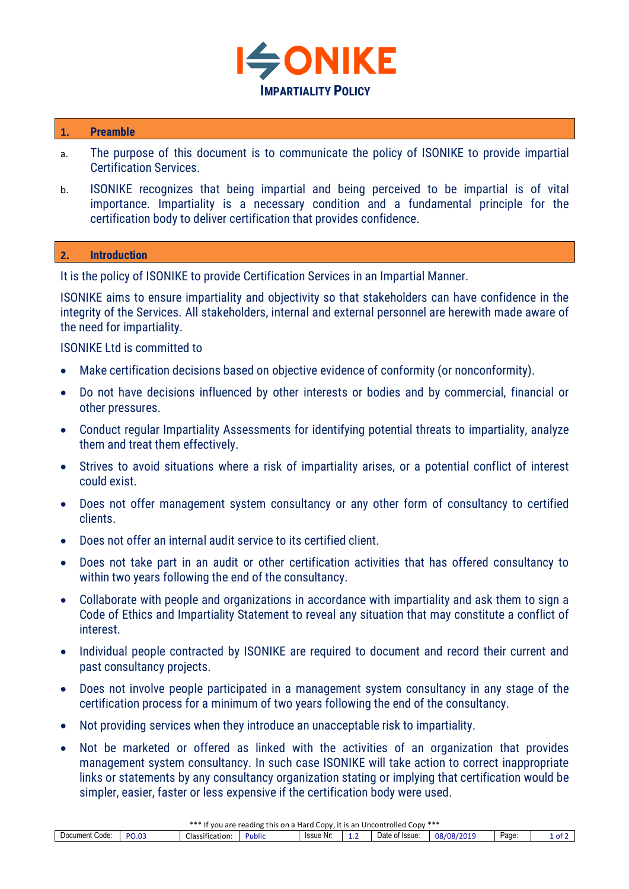

## **1. Preamble**

- a. The purpose of this document is to communicate the policy of ISONIKE to provide impartial Certification Services.
- b. ISONIKE recognizes that being impartial and being perceived to be impartial is of vital importance. Impartiality is a necessary condition and a fundamental principle for the certification body to deliver certification that provides confidence.

## **2. Introduction**

It is the policy of ISONIKE to provide Certification Services in an Impartial Manner.

ISONIKE aims to ensure impartiality and objectivity so that stakeholders can have confidence in the integrity of the Services. All stakeholders, internal and external personnel are herewith made aware of the need for impartiality.

## ISONIKE Ltd is committed to

- Make certification decisions based on objective evidence of conformity (or nonconformity).
- Do not have decisions influenced by other interests or bodies and by commercial, financial or other pressures.
- Conduct regular Impartiality Assessments for identifying potential threats to impartiality, analyze them and treat them effectively.
- Strives to avoid situations where a risk of impartiality arises, or a potential conflict of interest could exist.
- Does not offer management system consultancy or any other form of consultancy to certified clients.
- Does not offer an internal audit service to its certified client.
- Does not take part in an audit or other certification activities that has offered consultancy to within two years following the end of the consultancy.
- Collaborate with people and organizations in accordance with impartiality and ask them to sign a Code of Ethics and Impartiality Statement to reveal any situation that may constitute a conflict of interest.
- Individual people contracted by ISONIKE are required to document and record their current and past consultancy projects.
- Does not involve people participated in a management system consultancy in any stage of the certification process for a minimum of two years following the end of the consultancy.
- Not providing services when they introduce an unacceptable risk to impartiality.
- Not be marketed or offered as linked with the activities of an organization that provides management system consultancy. In such case ISONIKE will take action to correct inappropriate links or statements by any consultancy organization stating or implying that certification would be simpler, easier, faster or less expensive if the certification body were used.

| . ***<br>***<br>i Uncontrolled<br>e reading this on a Hard i<br>. Copy, it is an<br>. CODV<br>are<br>vou |       |                                             |        |           |        |                |                     |      |      |  |  |
|----------------------------------------------------------------------------------------------------------|-------|---------------------------------------------|--------|-----------|--------|----------------|---------------------|------|------|--|--|
| -<br>Code<br>Document                                                                                    | PO.03 | $\overline{\phantom{0}}$<br>Classification: | Public | Issue Nr: | -<br>. | Date of Issue: | 08/08/2019<br>-2013 | Page | 1 of |  |  |